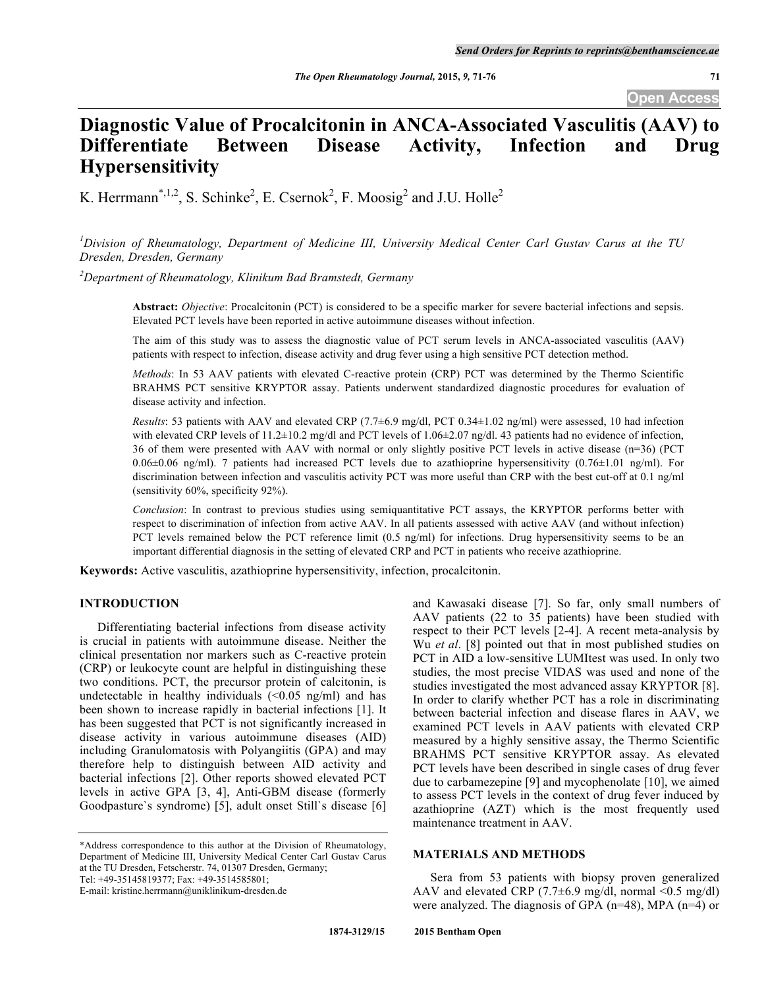**Open Access**

# **Diagnostic Value of Procalcitonin in ANCA-Associated Vasculitis (AAV) to Differentiate Between Disease Activity, Infection and Drug Hypersensitivity**

K. Herrmann<sup>\*,1,2</sup>, S. Schinke<sup>2</sup>, E. Csernok<sup>2</sup>, F. Moosig<sup>2</sup> and J.U. Holle<sup>2</sup>

*1 Division of Rheumatology, Department of Medicine III, University Medical Center Carl Gustav Carus at the TU Dresden, Dresden, Germany*

*2 Department of Rheumatology, Klinikum Bad Bramstedt, Germany*

**Abstract:** *Objective*: Procalcitonin (PCT) is considered to be a specific marker for severe bacterial infections and sepsis. Elevated PCT levels have been reported in active autoimmune diseases without infection.

The aim of this study was to assess the diagnostic value of PCT serum levels in ANCA-associated vasculitis (AAV) patients with respect to infection, disease activity and drug fever using a high sensitive PCT detection method.

*Methods*: In 53 AAV patients with elevated C-reactive protein (CRP) PCT was determined by the Thermo Scientific BRAHMS PCT sensitive KRYPTOR assay. Patients underwent standardized diagnostic procedures for evaluation of disease activity and infection.

*Results*: 53 patients with AAV and elevated CRP  $(7.7\pm6.9 \text{ mg/d}$ , PCT 0.34 $\pm1.02 \text{ ng/m}$ ) were assessed, 10 had infection with elevated CRP levels of 11.2±10.2 mg/dl and PCT levels of 1.06±2.07 ng/dl. 43 patients had no evidence of infection, 36 of them were presented with AAV with normal or only slightly positive PCT levels in active disease (n=36) (PCT 0.06±0.06 ng/ml). 7 patients had increased PCT levels due to azathioprine hypersensitivity (0.76±1.01 ng/ml). For discrimination between infection and vasculitis activity PCT was more useful than CRP with the best cut-off at 0.1 ng/ml (sensitivity 60%, specificity 92%).

*Conclusion*: In contrast to previous studies using semiquantitative PCT assays, the KRYPTOR performs better with respect to discrimination of infection from active AAV. In all patients assessed with active AAV (and without infection) PCT levels remained below the PCT reference limit (0.5 ng/ml) for infections. Drug hypersensitivity seems to be an important differential diagnosis in the setting of elevated CRP and PCT in patients who receive azathioprine.

**Keywords:** Active vasculitis, azathioprine hypersensitivity, infection, procalcitonin.

# **INTRODUCTION**

Differentiating bacterial infections from disease activity is crucial in patients with autoimmune disease. Neither the clinical presentation nor markers such as C-reactive protein (CRP) or leukocyte count are helpful in distinguishing these two conditions. PCT, the precursor protein of calcitonin, is undetectable in healthy individuals  $\left($  < 0.05 ng/ml) and has been shown to increase rapidly in bacterial infections [1]. It has been suggested that PCT is not significantly increased in disease activity in various autoimmune diseases (AID) including Granulomatosis with Polyangiitis (GPA) and may therefore help to distinguish between AID activity and bacterial infections [2]. Other reports showed elevated PCT levels in active GPA [3, 4], Anti-GBM disease (formerly Goodpasture`s syndrome) [5], adult onset Still`s disease [6]

\*Address correspondence to this author at the Division of Rheumatology, Department of Medicine III, University Medical Center Carl Gustav Carus at the TU Dresden, Fetscherstr. 74, 01307 Dresden, Germany; Tel: +49-35145819377; Fax: +49-3514585801;

E-mail: kristine.herrmann@uniklinikum-dresden.de

and Kawasaki disease [7]. So far, only small numbers of AAV patients (22 to 35 patients) have been studied with respect to their PCT levels [2-4]. A recent meta-analysis by Wu *et al*. [8] pointed out that in most published studies on PCT in AID a low-sensitive LUMItest was used. In only two studies, the most precise VIDAS was used and none of the studies investigated the most advanced assay KRYPTOR [8]. In order to clarify whether PCT has a role in discriminating between bacterial infection and disease flares in AAV, we examined PCT levels in AAV patients with elevated CRP measured by a highly sensitive assay, the Thermo Scientific BRAHMS PCT sensitive KRYPTOR assay. As elevated PCT levels have been described in single cases of drug fever due to carbamezepine [9] and mycophenolate [10], we aimed to assess PCT levels in the context of drug fever induced by azathioprine (AZT) which is the most frequently used maintenance treatment in AAV.

## **MATERIALS AND METHODS**

Sera from 53 patients with biopsy proven generalized AAV and elevated CRP (7.7 $\pm$ 6.9 mg/dl, normal <0.5 mg/dl) were analyzed. The diagnosis of GPA (n=48), MPA (n=4) or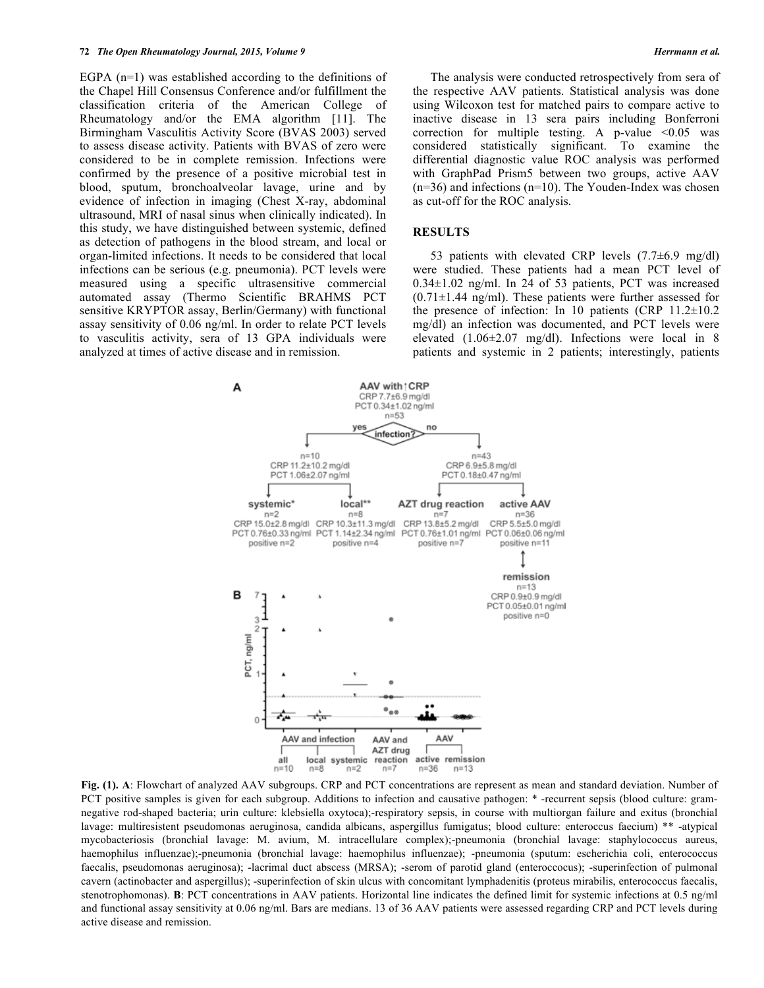EGPA (n=1) was established according to the definitions of the Chapel Hill Consensus Conference and/or fulfillment the classification criteria of the American College of Rheumatology and/or the EMA algorithm [11]. The Birmingham Vasculitis Activity Score (BVAS 2003) served to assess disease activity. Patients with BVAS of zero were considered to be in complete remission. Infections were confirmed by the presence of a positive microbial test in blood, sputum, bronchoalveolar lavage, urine and by evidence of infection in imaging (Chest X-ray, abdominal ultrasound, MRI of nasal sinus when clinically indicated). In this study, we have distinguished between systemic, defined as detection of pathogens in the blood stream, and local or organ-limited infections. It needs to be considered that local infections can be serious (e.g. pneumonia). PCT levels were measured using a specific ultrasensitive commercial automated assay (Thermo Scientific BRAHMS PCT sensitive KRYPTOR assay, Berlin/Germany) with functional assay sensitivity of 0.06 ng/ml. In order to relate PCT levels to vasculitis activity, sera of 13 GPA individuals were analyzed at times of active disease and in remission.

The analysis were conducted retrospectively from sera of the respective AAV patients. Statistical analysis was done using Wilcoxon test for matched pairs to compare active to inactive disease in 13 sera pairs including Bonferroni correction for multiple testing. A p-value  $\leq 0.05$  was considered statistically significant. To examine the differential diagnostic value ROC analysis was performed with GraphPad Prism5 between two groups, active AAV  $(n=36)$  and infections  $(n=10)$ . The Youden-Index was chosen as cut-off for the ROC analysis.

#### **RESULTS**

53 patients with elevated CRP levels  $(7.7\pm6.9 \text{ mg/dl})$ were studied. These patients had a mean PCT level of 0.34±1.02 ng/ml. In 24 of 53 patients, PCT was increased  $(0.71 \pm 1.44 \text{ ng/ml})$ . These patients were further assessed for the presence of infection: In 10 patients (CRP  $11.2\pm10.2$ ) mg/dl) an infection was documented, and PCT levels were elevated (1.06±2.07 mg/dl). Infections were local in 8 patients and systemic in 2 patients; interestingly, patients



**Fig. (1). A**: Flowchart of analyzed AAV subgroups. CRP and PCT concentrations are represent as mean and standard deviation. Number of PCT positive samples is given for each subgroup. Additions to infection and causative pathogen: \* -recurrent sepsis (blood culture: gramnegative rod-shaped bacteria; urin culture: klebsiella oxytoca);-respiratory sepsis, in course with multiorgan failure and exitus (bronchial lavage: multiresistent pseudomonas aeruginosa, candida albicans, aspergillus fumigatus; blood culture: enteroccus faecium) \*\* -atypical mycobacteriosis (bronchial lavage: M. avium, M. intracellulare complex);-pneumonia (bronchial lavage: staphylococcus aureus, haemophilus influenzae);-pneumonia (bronchial lavage: haemophilus influenzae); -pneumonia (sputum: escherichia coli, enterococcus faecalis, pseudomonas aeruginosa); -lacrimal duct abscess (MRSA); -serom of parotid gland (enteroccocus); -superinfection of pulmonal cavern (actinobacter and aspergillus); -superinfection of skin ulcus with concomitant lymphadenitis (proteus mirabilis, enterococcus faecalis, stenotrophomonas). **B**: PCT concentrations in AAV patients. Horizontal line indicates the defined limit for systemic infections at 0.5 ng/ml and functional assay sensitivity at 0.06 ng/ml. Bars are medians. 13 of 36 AAV patients were assessed regarding CRP and PCT levels during active disease and remission.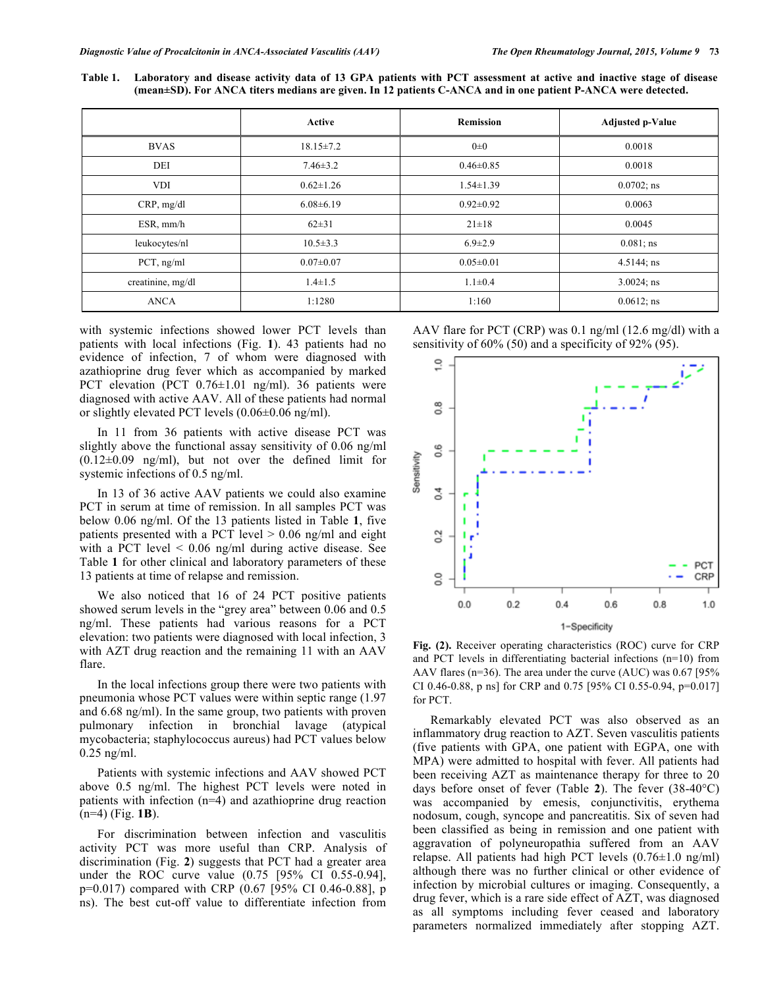**Table 1. Laboratory and disease activity data of 13 GPA patients with PCT assessment at active and inactive stage of disease (mean±SD). For ANCA titers medians are given. In 12 patients C-ANCA and in one patient P-ANCA were detected.**

|                   | Active          | <b>Remission</b> | <b>Adjusted p-Value</b> |  |
|-------------------|-----------------|------------------|-------------------------|--|
| <b>BVAS</b>       | $18.15 \pm 7.2$ | $0\pm 0$         | 0.0018                  |  |
| DEI               | $7.46 \pm 3.2$  | $0.46 \pm 0.85$  | 0.0018                  |  |
| <b>VDI</b>        | $0.62 \pm 1.26$ | $1.54 \pm 1.39$  | $0.0702$ ; ns           |  |
| CRP, mg/dl        | $6.08 \pm 6.19$ | $0.92 \pm 0.92$  | 0.0063                  |  |
| ESR, mm/h         | $62\pm31$       | $21 \pm 18$      | 0.0045                  |  |
| leukocytes/nl     | $10.5 \pm 3.3$  | $6.9 \pm 2.9$    | $0.081$ ; ns            |  |
| $PCT$ , ng/ml     | $0.07 \pm 0.07$ | $0.05 \pm 0.01$  | $4.5144$ ; ns           |  |
| creatinine, mg/dl | $1.4 \pm 1.5$   | $1.1 \pm 0.4$    | $3.0024$ ; ns           |  |
| <b>ANCA</b>       | 1:1280          | 1:160            | $0.0612$ ; ns           |  |

with systemic infections showed lower PCT levels than patients with local infections (Fig. **1**). 43 patients had no evidence of infection, 7 of whom were diagnosed with azathioprine drug fever which as accompanied by marked PCT elevation (PCT  $0.76 \pm 1.01$  ng/ml). 36 patients were diagnosed with active AAV. All of these patients had normal or slightly elevated PCT levels (0.06±0.06 ng/ml).

In 11 from 36 patients with active disease PCT was slightly above the functional assay sensitivity of 0.06 ng/ml (0.12±0.09 ng/ml), but not over the defined limit for systemic infections of 0.5 ng/ml.

In 13 of 36 active AAV patients we could also examine PCT in serum at time of remission. In all samples PCT was below 0.06 ng/ml. Of the 13 patients listed in Table **1**, five patients presented with a PCT level  $> 0.06$  ng/ml and eight with a PCT level  $\leq 0.06$  ng/ml during active disease. See Table **1** for other clinical and laboratory parameters of these 13 patients at time of relapse and remission.

We also noticed that 16 of 24 PCT positive patients showed serum levels in the "grey area" between 0.06 and 0.5 ng/ml. These patients had various reasons for a PCT elevation: two patients were diagnosed with local infection, 3 with AZT drug reaction and the remaining 11 with an AAV flare.

In the local infections group there were two patients with pneumonia whose PCT values were within septic range (1.97 and 6.68 ng/ml). In the same group, two patients with proven pulmonary infection in bronchial lavage (atypical mycobacteria; staphylococcus aureus) had PCT values below 0.25 ng/ml.

Patients with systemic infections and AAV showed PCT above 0.5 ng/ml. The highest PCT levels were noted in patients with infection (n=4) and azathioprine drug reaction (n=4) (Fig. **1B**).

For discrimination between infection and vasculitis activity PCT was more useful than CRP. Analysis of discrimination (Fig. **2**) suggests that PCT had a greater area under the ROC curve value (0.75 [95% CI 0.55-0.94], p=0.017) compared with CRP (0.67 [95% CI 0.46-0.88], p ns). The best cut-off value to differentiate infection from

AAV flare for PCT (CRP) was 0.1 ng/ml (12.6 mg/dl) with a sensitivity of 60% (50) and a specificity of 92% (95).



**Fig. (2).** Receiver operating characteristics (ROC) curve for CRP and PCT levels in differentiating bacterial infections (n=10) from AAV flares (n=36). The area under the curve (AUC) was 0.67 [95% CI 0.46-0.88, p ns] for CRP and 0.75 [95% CI 0.55-0.94, p=0.017] for PCT.

Remarkably elevated PCT was also observed as an inflammatory drug reaction to AZT. Seven vasculitis patients (five patients with GPA, one patient with EGPA, one with MPA) were admitted to hospital with fever. All patients had been receiving AZT as maintenance therapy for three to 20 days before onset of fever (Table **2**). The fever (38-40°C) was accompanied by emesis, conjunctivitis, erythema nodosum, cough, syncope and pancreatitis. Six of seven had been classified as being in remission and one patient with aggravation of polyneuropathia suffered from an AAV relapse. All patients had high PCT levels (0.76±1.0 ng/ml) although there was no further clinical or other evidence of infection by microbial cultures or imaging. Consequently, a drug fever, which is a rare side effect of AZT, was diagnosed as all symptoms including fever ceased and laboratory parameters normalized immediately after stopping AZT.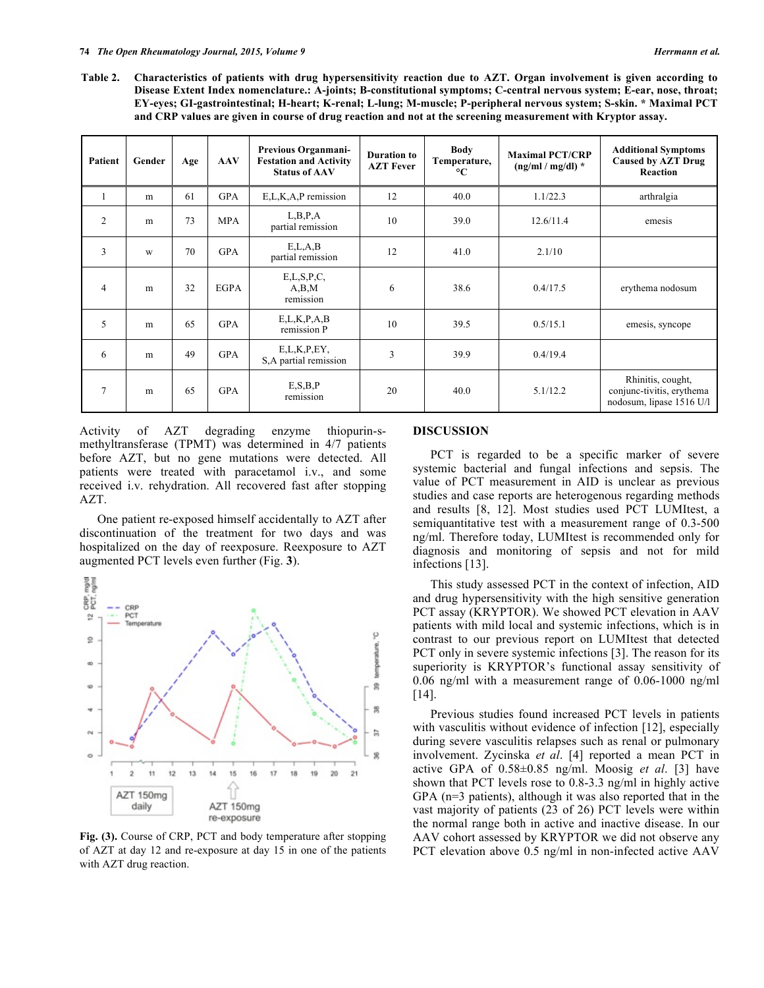**Table 2. Characteristics of patients with drug hypersensitivity reaction due to AZT. Organ involvement is given according to Disease Extent Index nomenclature.: A-joints; B-constitutional symptoms; C-central nervous system; E-ear, nose, throat; EY-eyes; GI-gastrointestinal; H-heart; K-renal; L-lung; M-muscle; P-peripheral nervous system; S-skin. \* Maximal PCT and CRP values are given in course of drug reaction and not at the screening measurement with Kryptor assay.**

| Patient        | Gender | Age | <b>AAV</b>  | Previous Organmani-<br><b>Festation and Activity</b><br><b>Status of AAV</b> | Duration to<br><b>AZT Fever</b> | <b>Body</b><br>Temperature,<br>$\rm ^{\circ}C$ | <b>Maximal PCT/CRP</b><br>$(ng/ml/mg/dl)$ * | <b>Additional Symptoms</b><br><b>Caused by AZT Drug</b><br>Reaction        |
|----------------|--------|-----|-------------|------------------------------------------------------------------------------|---------------------------------|------------------------------------------------|---------------------------------------------|----------------------------------------------------------------------------|
|                | m      | 61  | <b>GPA</b>  | E,L,K,A,P remission                                                          | 12                              | 40.0                                           | 1.1/22.3                                    | arthralgia                                                                 |
| 2              | m      | 73  | <b>MPA</b>  | L, B, P, A<br>partial remission                                              | 10                              | 39.0                                           | 12.6/11.4                                   | emesis                                                                     |
| 3              | W      | 70  | <b>GPA</b>  | E,L,A,B<br>partial remission                                                 | 12                              | 41.0                                           | 2.1/10                                      |                                                                            |
| $\overline{4}$ | m      | 32  | <b>EGPA</b> | E,L,S,P,C,<br>A,B,M<br>remission                                             | 6                               | 38.6                                           | 0.4/17.5                                    | erythema nodosum                                                           |
| 5              | m      | 65  | <b>GPA</b>  | E,L,K,P,A,B<br>remission P                                                   | 10                              | 39.5                                           | 0.5/15.1                                    | emesis, syncope                                                            |
| 6              | m      | 49  | <b>GPA</b>  | E,L,K,P, EY,<br>S, A partial remission                                       | 3                               | 39.9                                           | 0.4/19.4                                    |                                                                            |
| $\overline{7}$ | m      | 65  | <b>GPA</b>  | E, S, B, P<br>remission                                                      | 20                              | 40.0                                           | 5.1/12.2                                    | Rhinitis, cought,<br>conjunc-tivitis, erythema<br>nodosum, lipase 1516 U/l |

Activity of AZT degrading enzyme thiopurin-smethyltransferase (TPMT) was determined in 4/7 patients before AZT, but no gene mutations were detected. All patients were treated with paracetamol i.v., and some received i.v. rehydration. All recovered fast after stopping AZT.

One patient re-exposed himself accidentally to AZT after discontinuation of the treatment for two days and was hospitalized on the day of reexposure. Reexposure to AZT augmented PCT levels even further (Fig. **3**).



**Fig. (3).** Course of CRP, PCT and body temperature after stopping of AZT at day 12 and re-exposure at day 15 in one of the patients with AZT drug reaction.

#### **DISCUSSION**

PCT is regarded to be a specific marker of severe systemic bacterial and fungal infections and sepsis. The value of PCT measurement in AID is unclear as previous studies and case reports are heterogenous regarding methods and results [8, 12]. Most studies used PCT LUMItest, a semiquantitative test with a measurement range of 0.3-500 ng/ml. Therefore today, LUMItest is recommended only for diagnosis and monitoring of sepsis and not for mild infections [13].

This study assessed PCT in the context of infection, AID and drug hypersensitivity with the high sensitive generation PCT assay (KRYPTOR). We showed PCT elevation in AAV patients with mild local and systemic infections, which is in contrast to our previous report on LUMItest that detected PCT only in severe systemic infections [3]. The reason for its superiority is KRYPTOR's functional assay sensitivity of 0.06 ng/ml with a measurement range of 0.06-1000 ng/ml [14].

Previous studies found increased PCT levels in patients with vasculitis without evidence of infection [12], especially during severe vasculitis relapses such as renal or pulmonary involvement. Zycinska *et al*. [4] reported a mean PCT in active GPA of 0.58±0.85 ng/ml. Moosig *et al*. [3] have shown that PCT levels rose to 0.8-3.3 ng/ml in highly active GPA (n=3 patients), although it was also reported that in the vast majority of patients (23 of 26) PCT levels were within the normal range both in active and inactive disease. In our AAV cohort assessed by KRYPTOR we did not observe any PCT elevation above 0.5 ng/ml in non-infected active AAV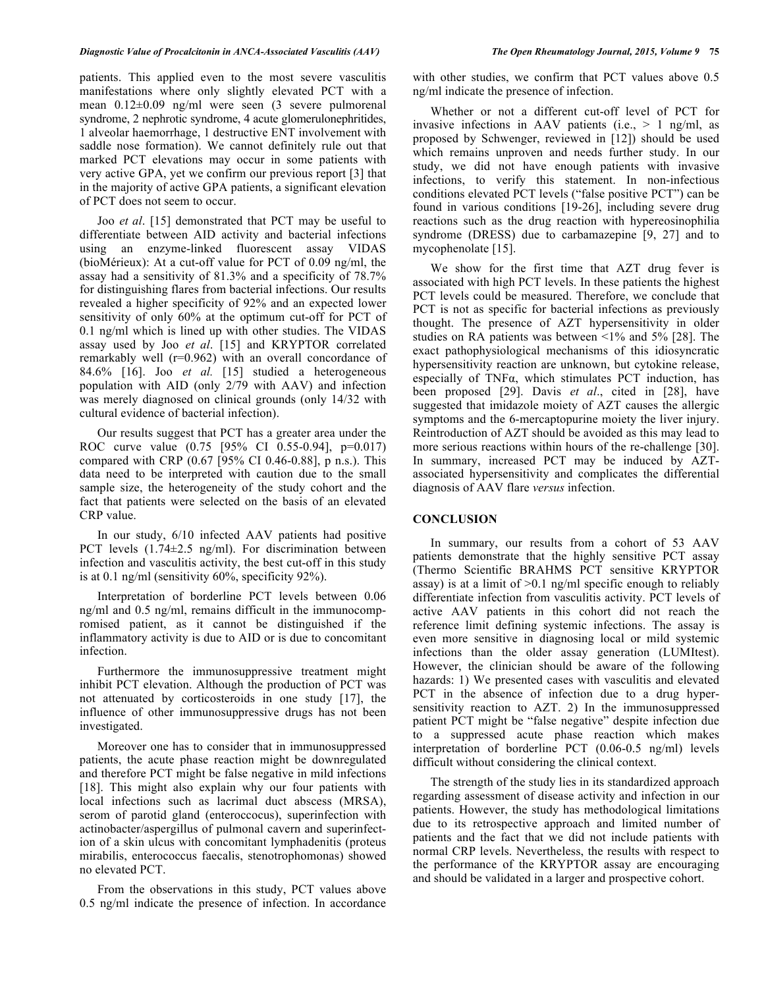patients. This applied even to the most severe vasculitis manifestations where only slightly elevated PCT with a mean 0.12±0.09 ng/ml were seen (3 severe pulmorenal syndrome, 2 nephrotic syndrome, 4 acute glomerulonephritides, 1 alveolar haemorrhage, 1 destructive ENT involvement with saddle nose formation). We cannot definitely rule out that marked PCT elevations may occur in some patients with very active GPA, yet we confirm our previous report [3] that in the majority of active GPA patients, a significant elevation of PCT does not seem to occur.

Joo *et al*. [15] demonstrated that PCT may be useful to differentiate between AID activity and bacterial infections using an enzyme-linked fluorescent assay VIDAS (bioMérieux): At a cut-off value for PCT of 0.09 ng/ml, the assay had a sensitivity of 81.3% and a specificity of 78.7% for distinguishing flares from bacterial infections. Our results revealed a higher specificity of 92% and an expected lower sensitivity of only 60% at the optimum cut-off for PCT of 0.1 ng/ml which is lined up with other studies. The VIDAS assay used by Joo *et al*. [15] and KRYPTOR correlated remarkably well (r=0.962) with an overall concordance of 84.6% [16]. Joo *et al.* [15] studied a heterogeneous population with AID (only 2/79 with AAV) and infection was merely diagnosed on clinical grounds (only 14/32 with cultural evidence of bacterial infection).

Our results suggest that PCT has a greater area under the ROC curve value (0.75 [95% CI 0.55-0.94], p=0.017) compared with CRP  $(0.67)$  [95% CI 0.46-0.88], p n.s.). This data need to be interpreted with caution due to the small sample size, the heterogeneity of the study cohort and the fact that patients were selected on the basis of an elevated CRP value.

In our study, 6/10 infected AAV patients had positive PCT levels (1.74±2.5 ng/ml). For discrimination between infection and vasculitis activity, the best cut-off in this study is at 0.1 ng/ml (sensitivity 60%, specificity 92%).

Interpretation of borderline PCT levels between 0.06 ng/ml and 0.5 ng/ml, remains difficult in the immunocompromised patient, as it cannot be distinguished if the inflammatory activity is due to AID or is due to concomitant infection.

Furthermore the immunosuppressive treatment might inhibit PCT elevation. Although the production of PCT was not attenuated by corticosteroids in one study [17], the influence of other immunosuppressive drugs has not been investigated.

Moreover one has to consider that in immunosuppressed patients, the acute phase reaction might be downregulated and therefore PCT might be false negative in mild infections [18]. This might also explain why our four patients with local infections such as lacrimal duct abscess (MRSA), serom of parotid gland (enteroccocus), superinfection with actinobacter/aspergillus of pulmonal cavern and superinfection of a skin ulcus with concomitant lymphadenitis (proteus mirabilis, enterococcus faecalis, stenotrophomonas) showed no elevated PCT.

From the observations in this study, PCT values above 0.5 ng/ml indicate the presence of infection. In accordance with other studies, we confirm that PCT values above 0.5 ng/ml indicate the presence of infection.

Whether or not a different cut-off level of PCT for invasive infections in AAV patients (i.e.,  $> 1$  ng/ml, as proposed by Schwenger, reviewed in [12]) should be used which remains unproven and needs further study. In our study, we did not have enough patients with invasive infections, to verify this statement. In non-infectious conditions elevated PCT levels ("false positive PCT") can be found in various conditions [19-26], including severe drug reactions such as the drug reaction with hypereosinophilia syndrome (DRESS) due to carbamazepine [9, 27] and to mycophenolate [15].

We show for the first time that AZT drug fever is associated with high PCT levels. In these patients the highest PCT levels could be measured. Therefore, we conclude that PCT is not as specific for bacterial infections as previously thought. The presence of AZT hypersensitivity in older studies on RA patients was between <1% and 5% [28]. The exact pathophysiological mechanisms of this idiosyncratic hypersensitivity reaction are unknown, but cytokine release, especially of TNFα, which stimulates PCT induction, has been proposed [29]. Davis *et al*., cited in [28], have suggested that imidazole moiety of AZT causes the allergic symptoms and the 6-mercaptopurine moiety the liver injury. Reintroduction of AZT should be avoided as this may lead to more serious reactions within hours of the re-challenge [30]. In summary, increased PCT may be induced by AZTassociated hypersensitivity and complicates the differential diagnosis of AAV flare *versus* infection.

#### **CONCLUSION**

In summary, our results from a cohort of 53 AAV patients demonstrate that the highly sensitive PCT assay (Thermo Scientific BRAHMS PCT sensitive KRYPTOR assay) is at a limit of  $>0.1$  ng/ml specific enough to reliably differentiate infection from vasculitis activity. PCT levels of active AAV patients in this cohort did not reach the reference limit defining systemic infections. The assay is even more sensitive in diagnosing local or mild systemic infections than the older assay generation (LUMItest). However, the clinician should be aware of the following hazards: 1) We presented cases with vasculitis and elevated PCT in the absence of infection due to a drug hypersensitivity reaction to AZT. 2) In the immunosuppressed patient PCT might be "false negative" despite infection due to a suppressed acute phase reaction which makes interpretation of borderline PCT (0.06-0.5 ng/ml) levels difficult without considering the clinical context.

The strength of the study lies in its standardized approach regarding assessment of disease activity and infection in our patients. However, the study has methodological limitations due to its retrospective approach and limited number of patients and the fact that we did not include patients with normal CRP levels. Nevertheless, the results with respect to the performance of the KRYPTOR assay are encouraging and should be validated in a larger and prospective cohort.